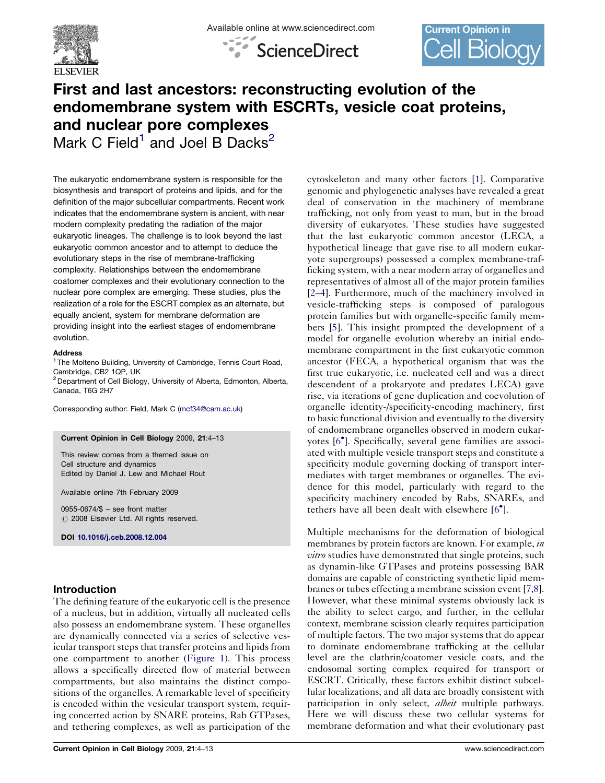





# First and last ancestors: reconstructing evolution of the endomembrane system with ESCRTs, vesicle coat proteins, and nuclear pore complexes

Mark C Field<sup>1</sup> and Joel B Dacks<sup>2</sup>

The eukaryotic endomembrane system is responsible for the biosynthesis and transport of proteins and lipids, and for the definition of the major subcellular compartments. Recent work indicates that the endomembrane system is ancient, with near modern complexity predating the radiation of the major eukaryotic lineages. The challenge is to look beyond the last eukaryotic common ancestor and to attempt to deduce the evolutionary steps in the rise of membrane-trafficking complexity. Relationships between the endomembrane coatomer complexes and their evolutionary connection to the nuclear pore complex are emerging. These studies, plus the realization of a role for the ESCRT complex as an alternate, but equally ancient, system for membrane deformation are providing insight into the earliest stages of endomembrane evolution.

#### **Address**

<sup>1</sup> The Molteno Building, University of Cambridge, Tennis Court Road, Cambridge, CB2 1QP, UK

<sup>2</sup> Department of Cell Biology, University of Alberta, Edmonton, Alberta, Canada, T6G 2H7

Corresponding author: Field, Mark C [\(mcf34@cam.ac.uk\)](mailto:mcf34@cam.ac.uk)

#### Current Opinion in Cell Biology 2009, 21:4–13

This review comes from a themed issue on Cell structure and dynamics Edited by Daniel J. Lew and Michael Rout

Available online 7th February 2009

0955-0674/\$ – see front matter  $\circ$  2008 Elsevier Ltd. All rights reserved.

DOI [10.1016/j.ceb.2008.12.004](http://dx.doi.org/10.1016/j.ceb.2008.12.004)

## Introduction

The defining feature of the eukaryotic cell is the presence of a nucleus, but in addition, virtually all nucleated cells also possess an endomembrane system. These organelles are dynamically connected via a series of selective vesicular transport steps that transfer proteins and lipids from one compartment to another [\(Figure 1\)](#page-1-0). This process allows a specifically directed flow of material between compartments, but also maintains the distinct compositions of the organelles. A remarkable level of specificity is encoded within the vesicular transport system, requiring concerted action by SNARE proteins, Rab GTPases, and tethering complexes, as well as participation of the

cytoskeleton and many other factors [\[1](#page-7-0)]. Comparative genomic and phylogenetic analyses have revealed a great deal of conservation in the machinery of membrane trafficking, not only from yeast to man, but in the broad diversity of eukaryotes. These studies have suggested that the last eukaryotic common ancestor (LECA, a hypothetical lineage that gave rise to all modern eukaryote supergroups) possessed a complex membrane-trafficking system, with a near modern array of organelles and representatives of almost all of the major protein families [\[2](#page-7-0)–4]. Furthermore, much of the machinery involved in vesicle-trafficking steps is composed of paralogous protein families but with organelle-specific family members [[5\]](#page-7-0). This insight prompted the development of a model for organelle evolution whereby an initial endomembrane compartment in the first eukaryotic common ancestor (FECA, a hypothetical organism that was the first true eukaryotic, i.e. nucleated cell and was a direct descendent of a prokaryote and predates LECA) gave rise, via iterations of gene duplication and coevolution of organelle identity-/specificity-encoding machinery, first to basic functional division and eventually to the diversity of endomembrane organelles observed in modern eukaryotes [\[6](#page-7-0)- ]. Specifically, several gene families are associated with multiple vesicle transport steps and constitute a specificity module governing docking of transport intermediates with target membranes or organelles. The evidence for this model, particularly with regard to the specificity machinery encoded by Rabs, SNAREs, and tethers have all been dealt with elsewhere [[6](#page-7-0)<sup>°</sup>].

Multiple mechanisms for the deformation of biological membranes by protein factors are known. For example, in *vitro* studies have demonstrated that single proteins, such as dynamin-like GTPases and proteins possessing BAR domains are capable of constricting synthetic lipid membranes or tubes effecting a membrane scission event [\[7,8](#page-7-0)]. However, what these minimal systems obviously lack is the ability to select cargo, and further, in the cellular context, membrane scission clearly requires participation of multiple factors. The two major systems that do appear to dominate endomembrane trafficking at the cellular level are the clathrin/coatomer vesicle coats, and the endosomal sorting complex required for transport or ESCRT. Critically, these factors exhibit distinct subcellular localizations, and all data are broadly consistent with participation in only select, *albeit* multiple pathways. Here we will discuss these two cellular systems for membrane deformation and what their evolutionary past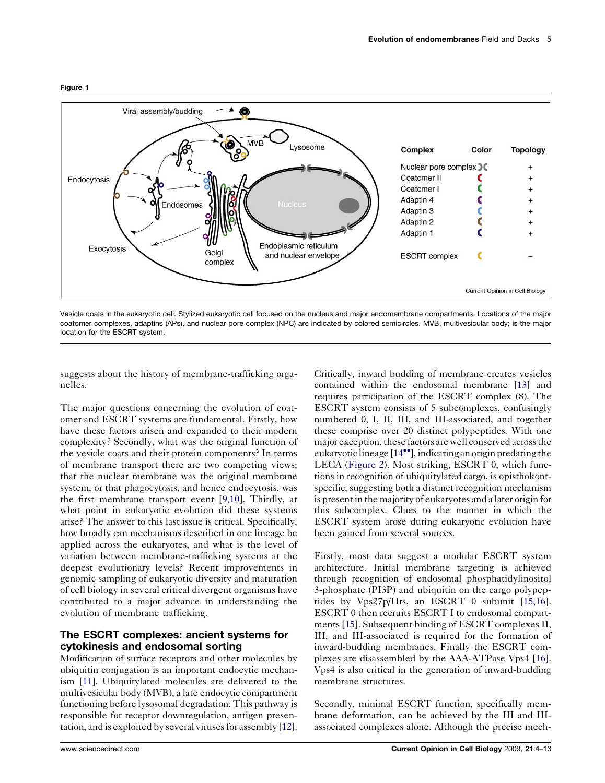

Vesicle coats in the eukaryotic cell. Stylized eukaryotic cell focused on the nucleus and major endomembrane compartments. Locations of the major coatomer complexes, adaptins (APs), and nuclear pore complex (NPC) are indicated by colored semicircles. MVB, multivesicular body; is the major location for the ESCRT system.

suggests about the history of membrane-trafficking organelles.

The major questions concerning the evolution of coatomer and ESCRT systems are fundamental. Firstly, how have these factors arisen and expanded to their modern complexity? Secondly, what was the original function of the vesicle coats and their protein components? In terms of membrane transport there are two competing views; that the nuclear membrane was the original membrane system, or that phagocytosis, and hence endocytosis, was the first membrane transport event [\[9,10\]](#page-7-0). Thirdly, at what point in eukaryotic evolution did these systems arise? The answer to this last issue is critical. Specifically, how broadly can mechanisms described in one lineage be applied across the eukaryotes, and what is the level of variation between membrane-trafficking systems at the deepest evolutionary levels? Recent improvements in genomic sampling of eukaryotic diversity and maturation of cell biology in several critical divergent organisms have contributed to a major advance in understanding the evolution of membrane trafficking.

## The ESCRT complexes: ancient systems for cytokinesis and endosomal sorting

Modification of surface receptors and other molecules by ubiquitin conjugation is an important endocytic mechanism [[11](#page-7-0)]. Ubiquitylated molecules are delivered to the multivesicular body (MVB), a late endocytic compartment functioning before lysosomal degradation. This pathway is responsible for receptor downregulation, antigen presentation, and is exploited by several viruses for assembly [[12](#page-7-0)]. Critically, inward budding of membrane creates vesicles contained within the endosomal membrane [[13\]](#page-7-0) and requires participation of the ESCRT complex (8). The ESCRT system consists of 5 subcomplexes, confusingly numbered 0, I, II, III, and III-associated, and together these comprise over 20 distinct polypeptides. With one major exception, these factors are well conserved across the eukaryotic lineage [\[14](#page-7-0)\*\*], indicating an origin predating the LECA ([Figure 2\)](#page-2-0). Most striking, ESCRT 0, which functions in recognition of ubiquitylated cargo, is opisthokontspecific, suggesting both a distinct recognition mechanism is present in the majority of eukaryotes and a later origin for this subcomplex. Clues to the manner in which the ESCRT system arose during eukaryotic evolution have been gained from several sources.

Firstly, most data suggest a modular ESCRT system architecture. Initial membrane targeting is achieved through recognition of endosomal phosphatidylinositol 3-phosphate (PI3P) and ubiquitin on the cargo polypeptides by Vps27p/Hrs, an ESCRT 0 subunit [\[15,16\]](#page-7-0). ESCRT 0 then recruits ESCRT I to endosomal compartments [[15](#page-7-0)]. Subsequent binding of ESCRT complexes II, III, and III-associated is required for the formation of inward-budding membranes. Finally the ESCRT complexes are disassembled by the AAA-ATPase Vps4 [[16\]](#page-7-0). Vps4 is also critical in the generation of inward-budding membrane structures.

Secondly, minimal ESCRT function, specifically membrane deformation, can be achieved by the III and IIIassociated complexes alone. Although the precise mech-

#### <span id="page-1-0"></span>Figure 1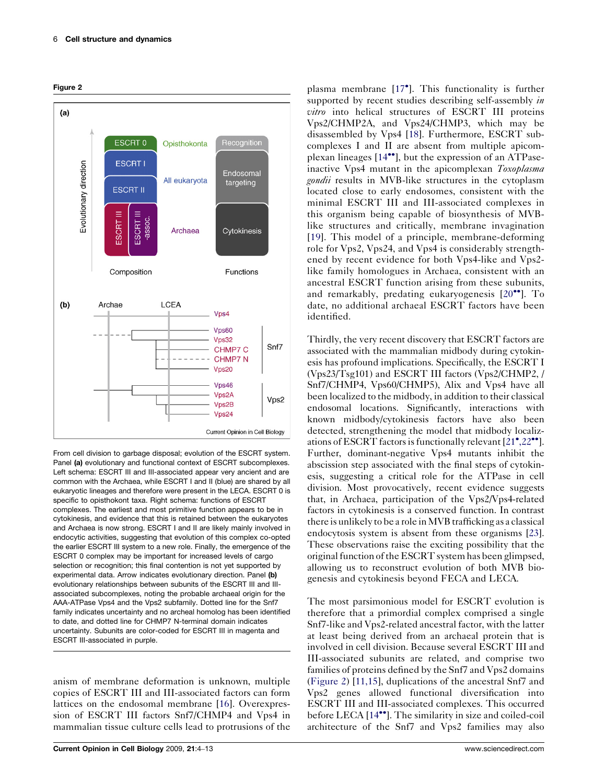<span id="page-2-0"></span>



From cell division to garbage disposal; evolution of the ESCRT system. Panel (a) evolutionary and functional context of ESCRT subcomplexes. Left schema: ESCRT III and III-associated appear very ancient and are common with the Archaea, while ESCRT I and II (blue) are shared by all eukaryotic lineages and therefore were present in the LECA. ESCRT 0 is specific to opisthokont taxa. Right schema: functions of ESCRT complexes. The earliest and most primitive function appears to be in cytokinesis, and evidence that this is retained between the eukaryotes and Archaea is now strong. ESCRT I and II are likely mainly involved in endocytic activities, suggesting that evolution of this complex co-opted the earlier ESCRT III system to a new role. Finally, the emergence of the ESCRT 0 complex may be important for increased levels of cargo selection or recognition; this final contention is not yet supported by experimental data. Arrow indicates evolutionary direction. Panel (b) evolutionary relationships between subunits of the ESCRT III and IIIassociated subcomplexes, noting the probable archaeal origin for the AAA-ATPase Vps4 and the Vps2 subfamily. Dotted line for the Snf7 family indicates uncertainty and no archeal homolog has been identified to date, and dotted line for CHMP7 N-terminal domain indicates uncertainty. Subunits are color-coded for ESCRT III in magenta and ESCRT III-associated in purple.

anism of membrane deformation is unknown, multiple copies of ESCRT III and III-associated factors can form lattices on the endosomal membrane [\[16](#page-7-0)]. Overexpression of ESCRT III factors Snf7/CHMP4 and Vps4 in mammalian tissue culture cells lead to protrusions of the

plasma membrane [\[17](#page-7-0)<sup>°</sup>]. This functionality is further supported by recent studies describing self-assembly in vitro into helical structures of ESCRT III proteins Vps2/CHMP2A, and Vps24/CHMP3, which may be disassembled by Vps4 [\[18](#page-8-0)]. Furthermore, ESCRT subcomplexes I and II are absent from multiple apicom-plexan lineages [[14](#page-7-0)<sup>••</sup>], but the expression of an ATPaseinactive Vps4 mutant in the apicomplexan Toxoplasma gondii results in MVB-like structures in the cytoplasm located close to early endosomes, consistent with the minimal ESCRT III and III-associated complexes in this organism being capable of biosynthesis of MVBlike structures and critically, membrane invagination [[19\]](#page-8-0). This model of a principle, membrane-deforming role for Vps2, Vps24, and Vps4 is considerably strengthened by recent evidence for both Vps4-like and Vps2 like family homologues in Archaea, consistent with an ancestral ESCRT function arising from these subunits, and remarkably, predating eukaryogenesis [[20](#page-8-0)<sup>••</sup>]. To date, no additional archaeal ESCRT factors have been identified.

Thirdly, the very recent discovery that ESCRT factors are associated with the mammalian midbody during cytokinesis has profound implications. Specifically, the ESCRT I (Vps23/Tsg101) and ESCRT III factors (Vps2/CHMP2, / Snf7/CHMP4, Vps60/CHMP5), Alix and Vps4 have all been localized to the midbody, in addition to their classical endosomal locations. Significantly, interactions with known midbody/cytokinesis factors have also been detected, strengthening the model that midbody localiz-ations of ESCRT factors is functionally relevant [\[21](#page-8-0)°[,22](#page-8-0)°°]. Further, dominant-negative Vps4 mutants inhibit the abscission step associated with the final steps of cytokinesis, suggesting a critical role for the ATPase in cell division. Most provocatively, recent evidence suggests that, in Archaea, participation of the Vps2/Vps4-related factors in cytokinesis is a conserved function. In contrast there is unlikely to be a role inMVB trafficking as a classical endocytosis system is absent from these organisms [[23\]](#page-8-0). These observations raise the exciting possibility that the original function of the ESCRT system has been glimpsed, allowing us to reconstruct evolution of both MVB biogenesis and cytokinesis beyond FECA and LECA.

The most parsimonious model for ESCRT evolution is therefore that a primordial complex comprised a single Snf7-like and Vps2-related ancestral factor, with the latter at least being derived from an archaeal protein that is involved in cell division. Because several ESCRT III and III-associated subunits are related, and comprise two families of proteins defined by the Snf7 and Vps2 domains (Figure 2) [\[11,15\]](#page-7-0), duplications of the ancestral Snf7 and Vps2 genes allowed functional diversification into ESCRT III and III-associated complexes. This occurred before LECA [[14](#page-7-0)<sup>\*\*</sup>]. The similarity in size and coiled-coil architecture of the Snf7 and Vps2 families may also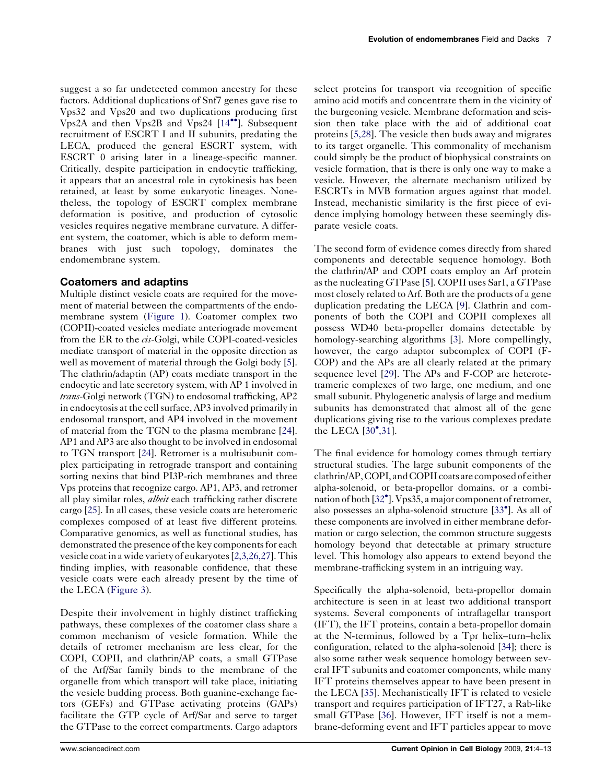suggest a so far undetected common ancestry for these factors. Additional duplications of Snf7 genes gave rise to Vps32 and Vps20 and two duplications producing first Vps2A and then Vps2B and Vps24  $[14\bullet]$  $[14\bullet]$ . Subsequent recruitment of ESCRT I and II subunits, predating the LECA, produced the general ESCRT system, with ESCRT 0 arising later in a lineage-specific manner. Critically, despite participation in endocytic trafficking, it appears that an ancestral role in cytokinesis has been retained, at least by some eukaryotic lineages. Nonetheless, the topology of ESCRT complex membrane deformation is positive, and production of cytosolic vesicles requires negative membrane curvature. A different system, the coatomer, which is able to deform membranes with just such topology, dominates the endomembrane system.

## Coatomers and adaptins

Multiple distinct vesicle coats are required for the movement of material between the compartments of the endomembrane system ([Figure 1](#page-1-0)). Coatomer complex two (COPII)-coated vesicles mediate anteriograde movement from the ER to the *cis*-Golgi, while COPI-coated-vesicles mediate transport of material in the opposite direction as well as movement of material through the Golgi body [\[5](#page-7-0)]. The clathrin/adaptin (AP) coats mediate transport in the endocytic and late secretory system, with AP 1 involved in trans-Golgi network (TGN) to endosomal trafficking, AP2 in endocytosis at the cell surface, AP3 involved primarily in endosomal transport, and AP4 involved in the movement of material from the TGN to the plasma membrane [[24](#page-8-0)]. AP1 and AP3 are also thought to be involved in endosomal to TGN transport [\[24](#page-8-0)]. Retromer is a multisubunit complex participating in retrograde transport and containing sorting nexins that bind PI3P-rich membranes and three Vps proteins that recognize cargo. AP1, AP3, and retromer all play similar roles, *albeit* each trafficking rather discrete cargo [[25](#page-8-0)]. In all cases, these vesicle coats are heteromeric complexes composed of at least five different proteins. Comparative genomics, as well as functional studies, has demonstrated the presence of the key components for each vesicle coat in a wide variety of eukaryotes [\[2,3,26,27](#page-7-0)]. This finding implies, with reasonable confidence, that these vesicle coats were each already present by the time of the LECA ([Figure 3\)](#page-5-0).

Despite their involvement in highly distinct trafficking pathways, these complexes of the coatomer class share a common mechanism of vesicle formation. While the details of retromer mechanism are less clear, for the COPI, COPII, and clathrin/AP coats, a small GTPase of the Arf/Sar family binds to the membrane of the organelle from which transport will take place, initiating the vesicle budding process. Both guanine-exchange factors (GEFs) and GTPase activating proteins (GAPs) facilitate the GTP cycle of Arf/Sar and serve to target the GTPase to the correct compartments. Cargo adaptors select proteins for transport via recognition of specific amino acid motifs and concentrate them in the vicinity of the burgeoning vesicle. Membrane deformation and scission then take place with the aid of additional coat proteins [\[5,28\]](#page-7-0). The vesicle then buds away and migrates to its target organelle. This commonality of mechanism could simply be the product of biophysical constraints on vesicle formation, that is there is only one way to make a vesicle. However, the alternate mechanism utilized by ESCRTs in MVB formation argues against that model. Instead, mechanistic similarity is the first piece of evidence implying homology between these seemingly disparate vesicle coats.

The second form of evidence comes directly from shared components and detectable sequence homology. Both the clathrin/AP and COPI coats employ an Arf protein as the nucleating GTPase [[5\]](#page-7-0). COPII uses Sar1, a GTPase most closely related to Arf. Both are the products of a gene duplication predating the LECA [[9\]](#page-7-0). Clathrin and components of both the COPI and COPII complexes all possess WD40 beta-propeller domains detectable by homology-searching algorithms [\[3](#page-7-0)]. More compellingly, however, the cargo adaptor subcomplex of COPI (F-COP) and the APs are all clearly related at the primary sequence level [[29\]](#page-8-0). The APs and F-COP are heterotetrameric complexes of two large, one medium, and one small subunit. Phylogenetic analysis of large and medium subunits has demonstrated that almost all of the gene duplications giving rise to the various complexes predate the LECA [\[30](#page-8-0)<sup>°</sup>[,31](#page-8-0)].

The final evidence for homology comes through tertiary structural studies. The large subunit components of the clathrin/AP, COPI, and COPII coats are composed of either alpha-solenoid, or beta-propellor domains, or a combination of both [[32](#page-8-0)- ]. Vps35, a major component of retromer, also possesses an alpha-solenoid structure [[33](#page-8-0)<sup>°</sup>]. As all of these components are involved in either membrane deformation or cargo selection, the common structure suggests homology beyond that detectable at primary structure level. This homology also appears to extend beyond the membrane-trafficking system in an intriguing way.

Specifically the alpha-solenoid, beta-propellor domain architecture is seen in at least two additional transport systems. Several components of intraflagellar transport (IFT), the IFT proteins, contain a beta-propellor domain at the N-terminus, followed by a Tpr helix–turn–helix configuration, related to the alpha-solenoid [[34\]](#page-8-0); there is also some rather weak sequence homology between several IFT subunits and coatomer components, while many IFT proteins themselves appear to have been present in the LECA [[35\]](#page-8-0). Mechanistically IFT is related to vesicle transport and requires participation of IFT27, a Rab-like small GTPase [\[36](#page-8-0)]. However, IFT itself is not a membrane-deforming event and IFT particles appear to move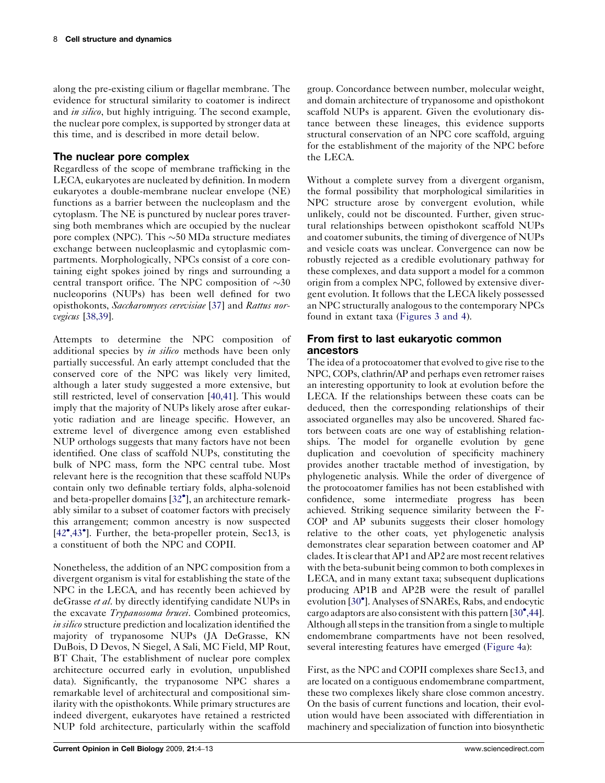along the pre-existing cilium or flagellar membrane. The evidence for structural similarity to coatomer is indirect and *in silico*, but highly intriguing. The second example, the nuclear pore complex, is supported by stronger data at this time, and is described in more detail below.

# The nuclear pore complex

Regardless of the scope of membrane trafficking in the LECA, eukaryotes are nucleated by definition. In modern eukaryotes a double-membrane nuclear envelope (NE) functions as a barrier between the nucleoplasm and the cytoplasm. The NE is punctured by nuclear pores traversing both membranes which are occupied by the nuclear pore complex (NPC). This  $\sim 50$  MDa structure mediates exchange between nucleoplasmic and cytoplasmic compartments. Morphologically, NPCs consist of a core containing eight spokes joined by rings and surrounding a central transport orifice. The NPC composition of  $\sim 30$ nucleoporins (NUPs) has been well defined for two opisthokonts, Saccharomyces cerevisiae [\[37](#page-8-0)] and Rattus norvegicus [\[38,39\]](#page-8-0).

Attempts to determine the NPC composition of additional species by *in silico* methods have been only partially successful. An early attempt concluded that the conserved core of the NPC was likely very limited, although a later study suggested a more extensive, but still restricted, level of conservation [\[40,41\]](#page-8-0). This would imply that the majority of NUPs likely arose after eukaryotic radiation and are lineage specific. However, an extreme level of divergence among even established NUP orthologs suggests that many factors have not been identified. One class of scaffold NUPs, constituting the bulk of NPC mass, form the NPC central tube. Most relevant here is the recognition that these scaffold NUPs contain only two definable tertiary folds, alpha-solenoid and beta-propeller domains [\[32](#page-8-0)<sup>°</sup>], an architecture remarkably similar to a subset of coatomer factors with precisely this arrangement; common ancestry is now suspected [\[42](#page-8-0)\*[,43](#page-8-0)\*]. Further, the beta-propeller protein, Sec13, is a constituent of both the NPC and COPII.

Nonetheless, the addition of an NPC composition from a divergent organism is vital for establishing the state of the NPC in the LECA, and has recently been achieved by deGrasse et al. by directly identifying candidate NUPs in the excavate Trypanosoma brucei. Combined proteomics, in silico structure prediction and localization identified the majority of trypanosome NUPs (JA DeGrasse, KN DuBois, D Devos, N Siegel, A Sali, MC Field, MP Rout, BT Chait, The establishment of nuclear pore complex architecture occurred early in evolution, unpublished data). Significantly, the trypanosome NPC shares a remarkable level of architectural and compositional similarity with the opisthokonts. While primary structures are indeed divergent, eukaryotes have retained a restricted NUP fold architecture, particularly within the scaffold

group. Concordance between number, molecular weight, and domain architecture of trypanosome and opisthokont scaffold NUPs is apparent. Given the evolutionary distance between these lineages, this evidence supports structural conservation of an NPC core scaffold, arguing for the establishment of the majority of the NPC before the LECA.

Without a complete survey from a divergent organism, the formal possibility that morphological similarities in NPC structure arose by convergent evolution, while unlikely, could not be discounted. Further, given structural relationships between opisthokont scaffold NUPs and coatomer subunits, the timing of divergence of NUPs and vesicle coats was unclear. Convergence can now be robustly rejected as a credible evolutionary pathway for these complexes, and data support a model for a common origin from a complex NPC, followed by extensive divergent evolution. It follows that the LECA likely possessed an NPC structurally analogous to the contemporary NPCs found in extant taxa ([Figures 3 and 4](#page-5-0)).

# From first to last eukaryotic common ancestors

The idea of a protocoatomer that evolved to give rise to the NPC, COPs, clathrin/AP and perhaps even retromer raises an interesting opportunity to look at evolution before the LECA. If the relationships between these coats can be deduced, then the corresponding relationships of their associated organelles may also be uncovered. Shared factors between coats are one way of establishing relationships. The model for organelle evolution by gene duplication and coevolution of specificity machinery provides another tractable method of investigation, by phylogenetic analysis. While the order of divergence of the protocoatomer families has not been established with confidence, some intermediate progress has been achieved. Striking sequence similarity between the F-COP and AP subunits suggests their closer homology relative to the other coats, yet phylogenetic analysis demonstrates clear separation between coatomer and AP clades. It is clear that AP1 and AP2 are most recent relatives with the beta-subunit being common to both complexes in LECA, and in many extant taxa; subsequent duplications producing AP1B and AP2B were the result of parallel evolution [[30](#page-8-0)<sup>°</sup>]. Analyses of SNAREs, Rabs, and endocytic cargo adaptors are also consistent with this pattern [[30](#page-8-0)°[,44\]](#page-8-0). Although all steps in the transition from a single to multiple endomembrane compartments have not been resolved, several interesting features have emerged ([Figure 4a](#page-6-0)):

First, as the NPC and COPII complexes share Sec13, and are located on a contiguous endomembrane compartment, these two complexes likely share close common ancestry. On the basis of current functions and location, their evolution would have been associated with differentiation in machinery and specialization of function into biosynthetic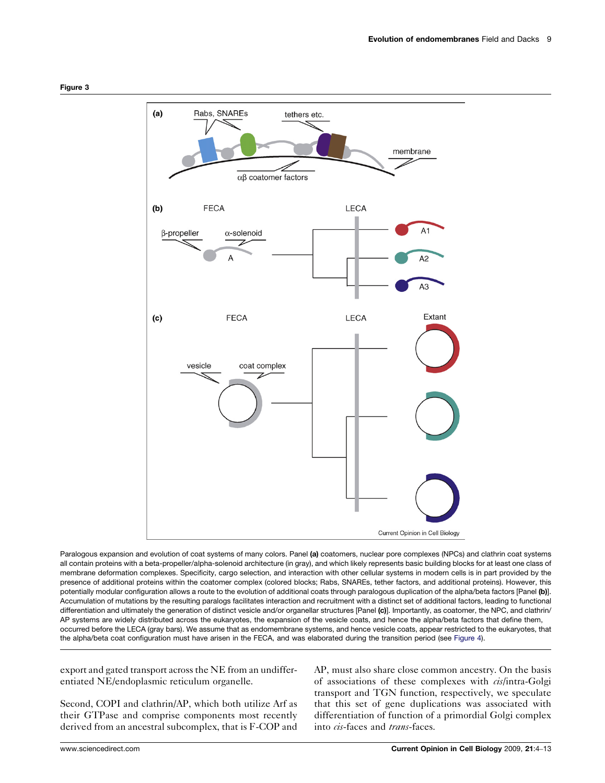<span id="page-5-0"></span>

Paralogous expansion and evolution of coat systems of many colors. Panel (a) coatomers, nuclear pore complexes (NPCs) and clathrin coat systems all contain proteins with a beta-propeller/alpha-solenoid architecture (in gray), and which likely represents basic building blocks for at least one class of membrane deformation complexes. Specificity, cargo selection, and interaction with other cellular systems in modern cells is in part provided by the presence of additional proteins within the coatomer complex (colored blocks; Rabs, SNAREs, tether factors, and additional proteins). However, this potentially modular configuration allows a route to the evolution of additional coats through paralogous duplication of the alpha/beta factors [Panel (b)]. Accumulation of mutations by the resulting paralogs facilitates interaction and recruitment with a distinct set of additional factors, leading to functional differentiation and ultimately the generation of distinct vesicle and/or organellar structures [Panel (c)]. Importantly, as coatomer, the NPC, and clathrin/ AP systems are widely distributed across the eukaryotes, the expansion of the vesicle coats, and hence the alpha/beta factors that define them, occurred before the LECA (gray bars). We assume that as endomembrane systems, and hence vesicle coats, appear restricted to the eukaryotes, that the alpha/beta coat configuration must have arisen in the FECA, and was elaborated during the transition period (see [Figure 4](#page-6-0)).

export and gated transport across the NE from an undifferentiated NE/endoplasmic reticulum organelle.

Second, COPI and clathrin/AP, which both utilize Arf as their GTPase and comprise components most recently derived from an ancestral subcomplex, that is F-COP and AP, must also share close common ancestry. On the basis of associations of these complexes with *cis*/intra-Golgi transport and TGN function, respectively, we speculate that this set of gene duplications was associated with differentiation of function of a primordial Golgi complex into cis-faces and trans-faces.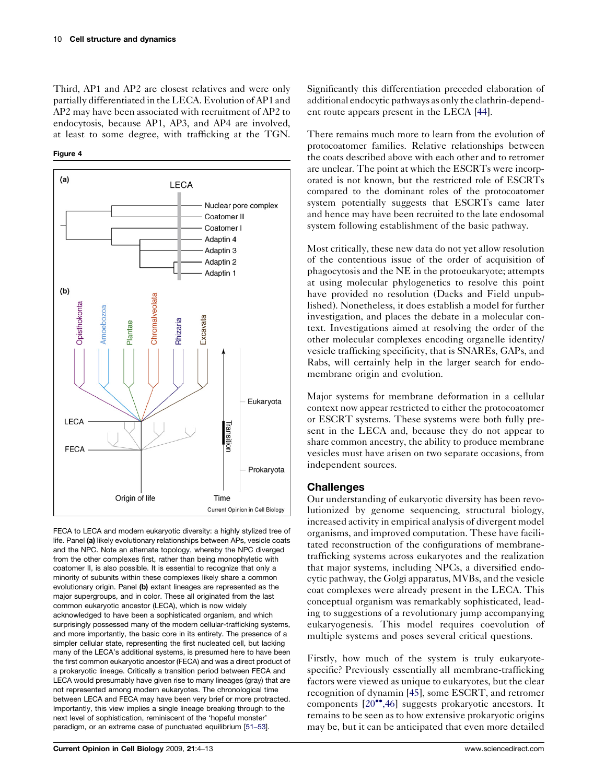<span id="page-6-0"></span>Third, AP1 and AP2 are closest relatives and were only partially differentiated in the LECA. Evolution of AP1 and AP2 may have been associated with recruitment of AP2 to endocytosis, because AP1, AP3, and AP4 are involved, at least to some degree, with trafficking at the TGN.

#### Figure 4



FECA to LECA and modern eukaryotic diversity: a highly stylized tree of life. Panel (a) likely evolutionary relationships between APs, vesicle coats and the NPC. Note an alternate topology, whereby the NPC diverged from the other complexes first, rather than being monophyletic with coatomer II, is also possible. It is essential to recognize that only a minority of subunits within these complexes likely share a common evolutionary origin. Panel (b) extant lineages are represented as the major supergroups, and in color. These all originated from the last common eukaryotic ancestor (LECA), which is now widely acknowledged to have been a sophisticated organism, and which surprisingly possessed many of the modern cellular-trafficking systems, and more importantly, the basic core in its entirety. The presence of a simpler cellular state, representing the first nucleated cell, but lacking many of the LECA's additional systems, is presumed here to have been the first common eukaryotic ancestor (FECA) and was a direct product of a prokaryotic lineage. Critically a transition period between FECA and LECA would presumably have given rise to many lineages (gray) that are not represented among modern eukaryotes. The chronological time between LECA and FECA may have been very brief or more protracted. Importantly, this view implies a single lineage breaking through to the next level of sophistication, reminiscent of the 'hopeful monster' paradigm, or an extreme case of punctuated equilibrium [[51](#page-9-0)–53].

Significantly this differentiation preceded elaboration of additional endocytic pathways as only the clathrin-dependent route appears present in the LECA [\[44](#page-8-0)].

There remains much more to learn from the evolution of protocoatomer families. Relative relationships between the coats described above with each other and to retromer are unclear. The point at which the ESCRTs were incorporated is not known, but the restricted role of ESCRTs compared to the dominant roles of the protocoatomer system potentially suggests that ESCRTs came later and hence may have been recruited to the late endosomal system following establishment of the basic pathway.

Most critically, these new data do not yet allow resolution of the contentious issue of the order of acquisition of phagocytosis and the NE in the protoeukaryote; attempts at using molecular phylogenetics to resolve this point have provided no resolution (Dacks and Field unpublished). Nonetheless, it does establish a model for further investigation, and places the debate in a molecular context. Investigations aimed at resolving the order of the other molecular complexes encoding organelle identity/ vesicle trafficking specificity, that is SNAREs, GAPs, and Rabs, will certainly help in the larger search for endomembrane origin and evolution.

Major systems for membrane deformation in a cellular context now appear restricted to either the protocoatomer or ESCRT systems. These systems were both fully present in the LECA and, because they do not appear to share common ancestry, the ability to produce membrane vesicles must have arisen on two separate occasions, from independent sources.

## **Challenges**

Our understanding of eukaryotic diversity has been revolutionized by genome sequencing, structural biology, increased activity in empirical analysis of divergent model organisms, and improved computation. These have facilitated reconstruction of the configurations of membranetrafficking systems across eukaryotes and the realization that major systems, including NPCs, a diversified endocytic pathway, the Golgi apparatus, MVBs, and the vesicle coat complexes were already present in the LECA. This conceptual organism was remarkably sophisticated, leading to suggestions of a revolutionary jump accompanying eukaryogenesis. This model requires coevolution of multiple systems and poses several critical questions.

Firstly, how much of the system is truly eukaryotespecific? Previously essentially all membrane-trafficking factors were viewed as unique to eukaryotes, but the clear recognition of dynamin [[45\]](#page-8-0), some ESCRT, and retromer components [\[20](#page-8-0)<sup>••</sup>[,46\]](#page-8-0) suggests prokaryotic ancestors. It remains to be seen as to how extensive prokaryotic origins may be, but it can be anticipated that even more detailed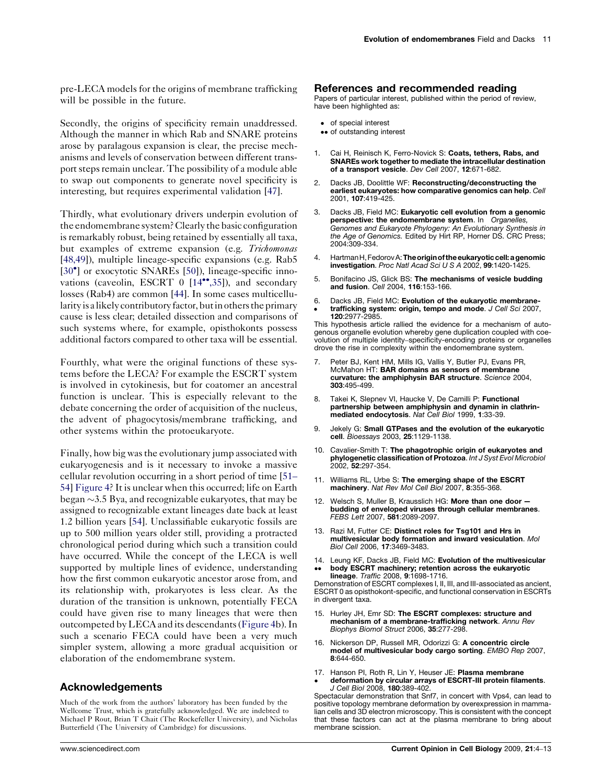<span id="page-7-0"></span>pre-LECA models for the origins of membrane trafficking will be possible in the future.

Secondly, the origins of specificity remain unaddressed. Although the manner in which Rab and SNARE proteins arose by paralagous expansion is clear, the precise mechanisms and levels of conservation between different transport steps remain unclear. The possibility of a module able to swap out components to generate novel specificity is interesting, but requires experimental validation [[47\]](#page-8-0).

Thirdly, what evolutionary drivers underpin evolution of the endomembrane system? Clearly the basic configuration is remarkably robust, being retained by essentially all taxa, but examples of extreme expansion (e.g. Trichomonas [\[48,49](#page-8-0)]), multiple lineage-specific expansions (e.g. Rab5 [\[30](#page-8-0)<sup>°</sup>] or exocytotic SNAREs [\[50](#page-9-0)]), lineage-specific innovations (caveolin, ESCRT 0 [14\*\*,35]), and secondary losses (Rab4) are common [\[44](#page-8-0)]. In some cases multicellularity is a likely contributory factor, but in others the primary cause is less clear; detailed dissection and comparisons of such systems where, for example, opisthokonts possess additional factors compared to other taxa will be essential.

Fourthly, what were the original functions of these systems before the LECA? For example the ESCRT system is involved in cytokinesis, but for coatomer an ancestral function is unclear. This is especially relevant to the debate concerning the order of acquisition of the nucleus, the advent of phagocytosis/membrane trafficking, and other systems within the protoeukaryote.

Finally, how big was the evolutionary jump associated with eukaryogenesis and is it necessary to invoke a massive cellular revolution occurring in a short period of time [\[51](#page-9-0)– [54\]](#page-9-0) [Figure 4?](#page-6-0) It is unclear when this occurred; life on Earth began  $\sim$ 3.5 Bya, and recognizable eukaryotes, that may be assigned to recognizable extant lineages date back at least 1.2 billion years [[54\]](#page-9-0). Unclassifiable eukaryotic fossils are up to 500 million years older still, providing a protracted chronological period during which such a transition could have occurred. While the concept of the LECA is well supported by multiple lines of evidence, understanding how the first common eukaryotic ancestor arose from, and its relationship with, prokaryotes is less clear. As the duration of the transition is unknown, potentially FECA could have given rise to many lineages that were then outcompeted by LECA and its descendants [\(Figure 4](#page-6-0)b). In such a scenario FECA could have been a very much simpler system, allowing a more gradual acquisition or elaboration of the endomembrane system.

### Acknowledgements

Much of the work from the authors' laboratory has been funded by the Wellcome Trust, which is gratefully acknowledged. We are indebted to Michael P Rout, Brian T Chait (The Rockefeller University), and Nicholas Butterfield (The University of Cambridge) for discussions.

### References and recommended reading

Papers of particular interest, published within the period of review, have been highlighted as:

- of special interest
- •• of outstanding interest
- 1. Cai H, Reinisch K, Ferro-Novick S: Coats, tethers, Rabs, and SNAREs work together to mediate the intracellular destination of a transport vesicle. Dev Cell 2007, 12:671-682.
- 2. Dacks JB, Doolittle WF: Reconstructing/deconstructing the earliest eukaryotes: how comparative genomics can help. Cell 2001, 107:419-425.
- 3. Dacks JB, Field MC: Eukaryotic cell evolution from a genomic perspective: the endomembrane system. In Organelles, Genomes and Eukaryote Phylogeny: An Evolutionary Synthesis in the Age of Genomics. Edited by Hirt RP, Horner DS. CRC Press; 2004:309-334.
- 4. Hartman H, Fedorov A: The origin of the eukaryotic cell: a genomic investigation. Proc Natl Acad Sci U S A 2002, 99:1420-1425.
- 5. Bonifacino JS, Glick BS: The mechanisms of vesicle budding and fusion. Cell 2004, 116:153-166.
- 6. Dacks JB, Field MC: Evolution of the eukaryotic membranetrafficking system: origin, tempo and mode. J Cell Sci 2007,
- -120:2977-2985. This hypothesis article rallied the evidence for a mechanism of auto-

genous organelle evolution whereby gene duplication coupled with coevolution of multiple identity–specificity-encoding proteins or organelles drove the rise in complexity within the endomembrane system.

- 7. Peter BJ, Kent HM, Mills IG, Vallis Y, Butler PJ, Evans PR, McMahon HT: BAR domains as sensors of membrane curvature: the amphiphysin BAR structure. Science 2004, 303:495-499.
- 8. Takei K, Slepnev VI, Haucke V, De Camilli P: Functional partnership between amphiphysin and dynamin in clathrinmediated endocytosis. Nat Cell Biol 1999, 1:33-39.
- 9. Jekely G: Small GTPases and the evolution of the eukaryotic cell. Bioessays 2003, 25:1129-1138.
- 10. Cavalier-Smith T: The phagotrophic origin of eukaryotes and phylogenetic classification of Protozoa. Int J Syst Evol Microbiol 2002, 52:297-354.
- 11. Williams RL, Urbe S: The emerging shape of the ESCRT machinery. Nat Rev Mol Cell Biol 2007, 8:355-368.
- 12. Welsch S, Muller B, Krausslich HG: More than one door budding of enveloped viruses through cellular membranes. FEBS Lett 2007, 581:2089-2097.
- 13. Razi M, Futter CE: Distinct roles for Tsg101 and Hrs in multivesicular body formation and inward vesiculation. Mol Biol Cell 2006, 17:3469-3483.
- 14. Leung KF, Dacks JB, Field MC: Evolution of the multivesicular -body ESCRT machinery; retention across the eukaryotic lineage. Traffic 2008, 9:1698-1716.

Demonstration of ESCRT complexes I, II, III, and III-associated as ancient, ESCRT 0 as opisthokont-specific, and functional conservation in ESCRTs in divergent taxa.

- 15. Hurley JH, Emr SD: The ESCRT complexes: structure and mechanism of a membrane-trafficking network. Annu Rev Biophys Biomol Struct 2006, 35:277-298.
- 16. Nickerson DP, Russell MR, Odorizzi G: A concentric circle model of multivesicular body cargo sorting. EMBO Rep 2007, 8:644-650.
- 17. Hanson PI, Roth R, Lin Y, Heuser JE: Plasma membrane
- deformation by circular arrays of ESCRT-III protein filaments. J Cell Biol 2008, 180:389-402.

Spectacular demonstration that Snf7, in concert with Vps4, can lead to positive topology membrane deformation by overexpression in mammalian cells and 3D electron microscopy. This is consistent with the concept that these factors can act at the plasma membrane to bring about membrane scission.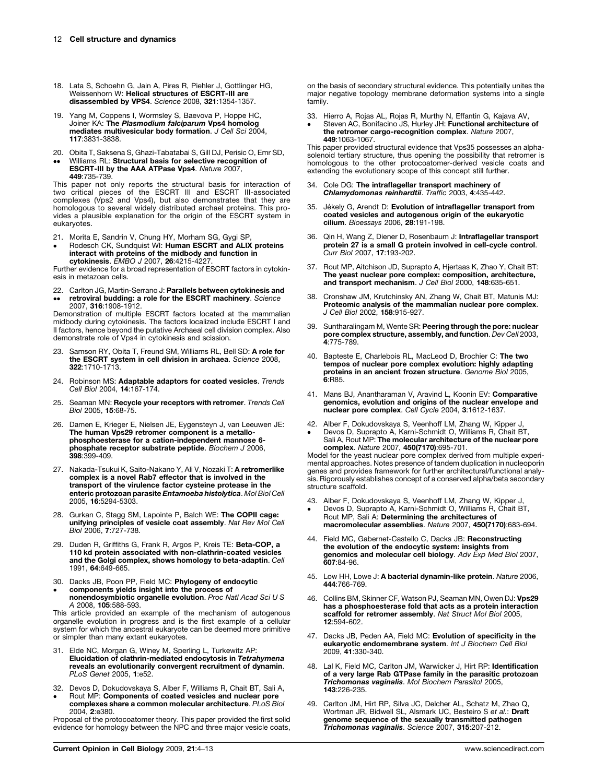- <span id="page-8-0"></span>18. Lata S, Schoehn G, Jain A, Pires R, Piehler J, Gottlinger HG, Weissenhorn W: Helical structures of ESCRT-III are disassembled by VPS4. Science 2008, 321:1354-1357.
- 19. Yang M, Coppens I, Wormsley S, Baevova P, Hoppe HC,<br>Joiner KA: **The** *Plasmodium falciparum* **Vps4 homolog** mediates multivesicular body formation. J Cell Sci 2004, 117:3831-3838.
- 20. Obita T, Saksena S, Ghazi-Tabatabai S, Gill DJ, Perisic O, Emr SD,
- $\bullet$  $\bullet$ Williams RL: Structural basis for selective recognition of ESCRT-III by the AAA ATPase Vps4. Nature 2007, 449:735-739.

This paper not only reports the structural basis for interaction of two critical pieces of the ESCRT III and ESCRT III-associated complexes (Vps2 and Vps4), but also demonstrates that they are homologous to several widely distributed archael proteins. This provides a plausible explanation for the origin of the ESCRT system in eukaryotes.

21.

21. Morita E, Sandrin V, Chung HY, Morham SG, Gygi SP,<br>● Rodesch CK, Sundquist WI: **Human ESCRT and ALIX proteins** interact with proteins of the midbody and function in cytokinesis. EMBO J 2007, 26:4215-4227.

Further evidence for a broad representation of ESCRT factors in cytokinesis in metazoan cells.

22.  $\bullet\bullet$ Carlton JG, Martin-Serrano J: Parallels between cytokinesis and retroviral budding: a role for the ESCRT machinery. Science 2007, 316:1908-1912.

Demonstration of multiple ESCRT factors located at the mammalian midbody during cytokinesis. The factors localized include ESCRT I and II factors, hence beyond the putative Archaeal cell division complex. Also demonstrate role of Vps4 in cytokinesis and scission.

- 23. Samson RY, Obita T, Freund SM, Williams RL, Bell SD: A role for the ESCRT system in cell division in archaea. Science 2008, 322:1710-1713.
- 24. Robinson MS: Adaptable adaptors for coated vesicles. Trends Cell Biol 2004, 14:167-174.
- 25. Seaman MN: Recycle your receptors with retromer. Trends Cell Biol 2005, 15:68-75.
- 26. Damen E, Krieger E, Nielsen JE, Eygensteyn J, van Leeuwen JE: The human Vps29 retromer component is a metallophosphoesterase for a cation-independent mannose 6 phosphate receptor substrate peptide. Biochem J 2006, 398:399-409.
- 27. Nakada-Tsukui K, Saito-Nakano Y, Ali V, Nozaki T: A retromerlike complex is a novel Rab7 effector that is involved in the transport of the virulence factor cysteine protease in the enteric protozoan parasite Entamoeba histolytica. Mol Biol Cell 2005, 16:5294-5303.
- 28. Gurkan C, Stagg SM, Lapointe P, Balch WE: The COPII cage: unifying principles of vesicle coat assembly. Nat Rev Mol Cell Biol 2006, 7:727-738.
- 29. Duden R, Griffiths G, Frank R, Argos P, Kreis TE: Beta-COP, a 110 kd protein associated with non-clathrin-coated vesicles and the Golgi complex, shows homology to beta-adaptin. Cell 1991, 64:649-665.
- 30. Dacks JB, Poon PP, Field MC: Phylogeny of endocytic  $\bullet$ components yields insight into the process of nonendosymbiotic organelle evolution. Proc Natl Acad Sci U S A 2008, 105:588-593.

This article provided an example of the mechanism of autogenous organelle evolution in progress and is the first example of a cellular system for which the ancestral eukaryote can be deemed more primitive or simpler than many extant eukaryotes.

- 31. Elde NC, Morgan G, Winey M, Sperling L, Turkewitz AP:<br>**Elucidation of clathrin-mediated endocytosis in** *Tetrahymena* reveals an evolutionarily convergent recruitment of dynamin. PLoS Genet 2005, 1:e52.
- 32. Devos D, Dokudovskaya S, Alber F, Williams R, Chait BT, Sali A,
- $\bullet$ Rout MP: Components of coated vesicles and nuclear pore complexes share a common molecular architecture. PLoS Biol 2004, 2:e380.

Proposal of the protocoatomer theory. This paper provided the first solid evidence for homology between the NPC and three major vesicle coats, on the basis of secondary structural evidence. This potentially unites the major negative topology membrane deformation systems into a single family.

33. Hierro A, Rojas AL, Rojas R, Murthy N, Effantin G, Kajava AV, -Steven AC, Bonifacino JS, Hurley JH: Functional architecture of the retromer cargo-recognition complex. Nature 2007, 449:1063-1067.

This paper provided structural evidence that Vps35 possesses an alphasolenoid tertiary structure, thus opening the possibility that retromer is homologous to the other protocoatomer-derived vesicle coats and extending the evolutionary scope of this concept still further.

- 34. Cole DG: The intraflagellar transport machinery of Chlamydomonas reinhardtii. Traffic 2003, 4:435-442.
- 35. Jékely G, Arendt D: Evolution of intraflagellar transport from coated vesicles and autogenous origin of the eukaryotic cilium. Bioessays 2006, 28:191-198.
- 36. Qin H, Wang Z, Diener D, Rosenbaum J: Intraflagellar transport protein 27 is a small G protein involved in cell-cycle control. Curr Biol 2007, 17:193-202.
- 37. Rout MP, Aitchison JD, Suprapto A, Hjertaas K, Zhao Y, Chait BT: The yeast nuclear pore complex: composition, architecture, and transport mechanism. J Cell Biol 2000, 148:635-651.
- 38. Cronshaw JM, Krutchinsky AN, Zhang W, Chait BT, Matunis MJ: Proteomic analysis of the mammalian nuclear pore complex. J Cell Biol 2002, 158:915-927.
- 39. Suntharalingam M, Wente SR: Peering through the pore: nuclear **pore complex structure, assembly, and function**. *Dev Cell* 2003,<br>**4**:775-789.
- 40. Bapteste E, Charlebois RL, MacLeod D, Brochier C: The two tempos of nuclear pore complex evolution: highly adapting proteins in an ancient frozen structure. Genome Biol 2005, 6:R85.
- 41. Mans BJ, Anantharaman V, Aravind L, Koonin EV: Comparative genomics, evolution and origins of the nuclear envelope and nuclear pore complex. Cell Cycle 2004, 3:1612-1637.
- 42. Alber F, Dokudovskaya S, Veenhoff LM, Zhang W, Kipper J,
- -Devos D, Suprapto A, Karni-Schmidt O, Williams R, Chait BT, Sali A, Rout MP: The molecular architecture of the nuclear pore complex. Nature 2007, 450(7170):695-701.

Model for the yeast nuclear pore complex derived from multiple experimental approaches. Notes presence of tandem duplication in nucleoporin genes and provides framework for further architectural/functional analysis. Rigorously establishes concept of a conserved alpha/beta secondary structure scaffold.

- 43. Alber F, Dokudovskaya S, Veenhoff LM, Zhang W, Kipper J,
- -Devos D, Suprapto A, Karni-Schmidt O, Williams R, Chait BT,<br>Rout MP, Sali A: **Determining the architectures of** macromolecular assemblies. Nature 2007, 450(7170):683-694.
- 44. Field MC, Gabernet-Castello C, Dacks JB: Reconstructing the evolution of the endocytic system: insights from<br>genomics and molecular cell biology. Adv Exp Med Biol 2007, 607:84-96.
- 45. Low HH, Lowe J: A bacterial dynamin-like protein. Nature 2006, 444:766-769.
- 46. Collins BM, Skinner CF, Watson PJ, Seaman MN, Owen DJ: Vps29 has a phosphoesterase fold that acts as a protein interaction scaffold for retromer assembly. Nat Struct Mol Biol 2005, 12:594-602.
- 47. Dacks JB, Peden AA, Field MC: Evolution of specificity in the eukaryotic endomembrane system. Int J Biochem Cell Biol 2009, 41:330-340.
- 48. Lal K, Field MC, Carlton JM, Warwicker J, Hirt RP: Identification of a very large Rab GTPase family in the parasitic protozoan Trichomonas vaginalis. Mol Biochem Parasitol 2005, 143:226-235.
- 49. Carlton JM, Hirt RP, Silva JC, Delcher AL, Schatz M, Zhao Q, Wortman JR, Bidwell SL, Alsmark UC, Besteiro S et al.: Draft genome sequence of the sexually transmitted pathogen Trichomonas vaginalis. Science 2007, 315:207-212.